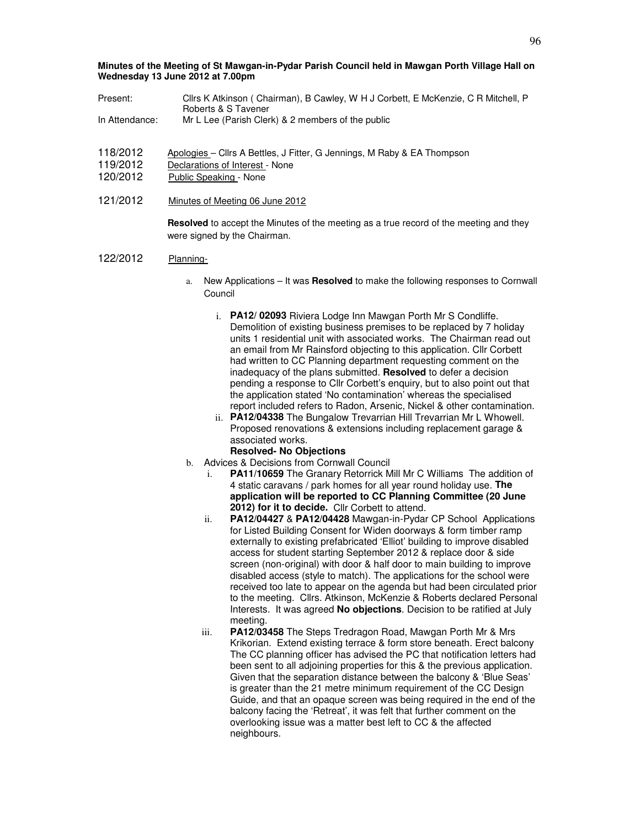# **Wednesday 13 June 2012 at 7.00pm**

- Present: Cllrs K Atkinson ( Chairman), B Cawley, W H J Corbett, E McKenzie, C R Mitchell, P Roberts & S Tavener In Attendance: Mr L Lee (Parish Clerk) & 2 members of the public
- 118/2012 Apologies Cllrs A Bettles, J Fitter, G Jennings, M Raby & EA Thompson
- 119/2012 Declarations of Interest None
- 120/2012 Public Speaking None
- 121/2012 Minutes of Meeting 06 June 2012

**Resolved** to accept the Minutes of the meeting as a true record of the meeting and they were signed by the Chairman.

#### 122/2012 Planning-

- a. New Applications It was **Resolved** to make the following responses to Cornwall Council
	- i. **PA12/ 02093** Riviera Lodge Inn Mawgan Porth Mr S Condliffe. Demolition of existing business premises to be replaced by 7 holiday units 1 residential unit with associated works. The Chairman read out an email from Mr Rainsford objecting to this application. Cllr Corbett had written to CC Planning department requesting comment on the inadequacy of the plans submitted. **Resolved** to defer a decision pending a response to Cllr Corbett's enquiry, but to also point out that the application stated 'No contamination' whereas the specialised report included refers to Radon, Arsenic, Nickel & other contamination.
	- ii. **PA12/04338** The Bungalow Trevarrian Hill Trevarrian Mr L Whowell. Proposed renovations & extensions including replacement garage & associated works.

## **Resolved- No Objections**

- b. Advices & Decisions from Cornwall Council
	- **PA11/10659** The Granary Retorrick Mill Mr C Williams The addition of 4 static caravans / park homes for all year round holiday use. **The application will be reported to CC Planning Committee (20 June 2012) for it to decide.** Cllr Corbett to attend.
	- ii. **PA12/04427** & **PA12/04428** Mawgan-in-Pydar CP School Applications for Listed Building Consent for Widen doorways & form timber ramp externally to existing prefabricated 'Elliot' building to improve disabled access for student starting September 2012 & replace door & side screen (non-original) with door & half door to main building to improve disabled access (style to match). The applications for the school were received too late to appear on the agenda but had been circulated prior to the meeting. Cllrs. Atkinson, McKenzie & Roberts declared Personal Interests. It was agreed **No objections**. Decision to be ratified at July meeting.
	- iii. **PA12/03458** The Steps Tredragon Road, Mawgan Porth Mr & Mrs Krikorian. Extend existing terrace & form store beneath. Erect balcony The CC planning officer has advised the PC that notification letters had been sent to all adjoining properties for this & the previous application. Given that the separation distance between the balcony & 'Blue Seas' is greater than the 21 metre minimum requirement of the CC Design Guide, and that an opaque screen was being required in the end of the balcony facing the 'Retreat', it was felt that further comment on the overlooking issue was a matter best left to CC & the affected neighbours.